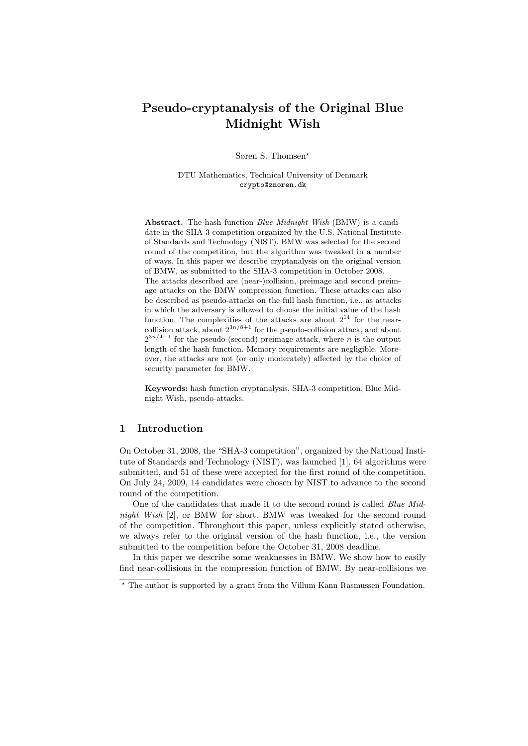# Pseudo-cryptanalysis of the Original Blue Midnight Wish

Søren S. Thomsen?

DTU Mathematics, Technical University of Denmark crypto@znoren.dk

Abstract. The hash function Blue Midnight Wish (BMW) is a candidate in the SHA-3 competition organized by the U.S. National Institute of Standards and Technology (NIST). BMW was selected for the second round of the competition, but the algorithm was tweaked in a number of ways. In this paper we describe cryptanalysis on the original version of BMW, as submitted to the SHA-3 competition in October 2008. The attacks described are (near-)collision, preimage and second preimage attacks on the BMW compression function. These attacks can also be described as pseudo-attacks on the full hash function, i.e., as attacks in which the adversary is allowed to choose the initial value of the hash function. The complexities of the attacks are about  $2^{14}$  for the nearcollision attack, about  $2^{3n/8+1}$  for the pseudo-collision attack, and about  $2^{3n/4+1}$  for the pseudo-(second) preimage attack, where *n* is the output length of the hash function. Memory requirements are negligible. Moreover, the attacks are not (or only moderately) affected by the choice of

Keywords: hash function cryptanalysis, SHA-3 competition, Blue Midnight Wish, pseudo-attacks.

# 1 Introduction

security parameter for BMW.

On October 31, 2008, the "SHA-3 competition", organized by the National Institute of Standards and Technology (NIST), was launched [1]. 64 algorithms were submitted, and 51 of these were accepted for the first round of the competition. On July 24, 2009, 14 candidates were chosen by NIST to advance to the second round of the competition.

One of the candidates that made it to the second round is called Blue Midnight Wish [2], or BMW for short. BMW was tweaked for the second round of the competition. Throughout this paper, unless explicitly stated otherwise, we always refer to the original version of the hash function, i.e., the version submitted to the competition before the October 31, 2008 deadline.

In this paper we describe some weaknesses in BMW. We show how to easily find near-collisions in the compression function of BMW. By near-collisions we

 $^{\star}$  The author is supported by a grant from the Villum Kann Rasmussen Foundation.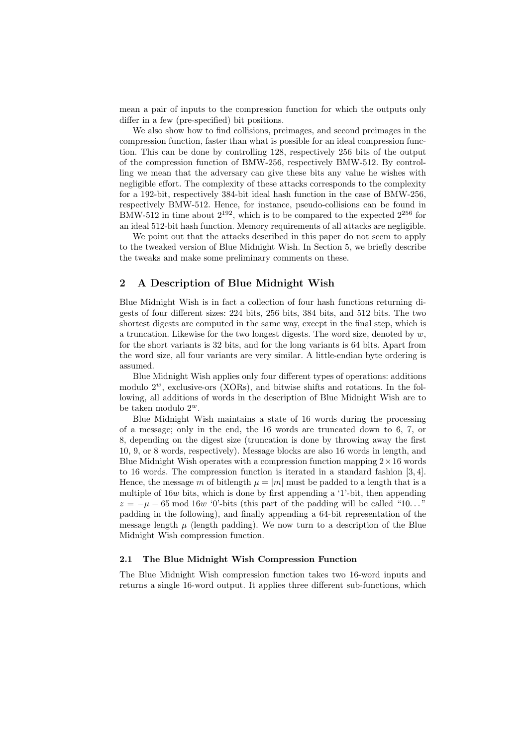mean a pair of inputs to the compression function for which the outputs only differ in a few (pre-specified) bit positions.

We also show how to find collisions, preimages, and second preimages in the compression function, faster than what is possible for an ideal compression function. This can be done by controlling 128, respectively 256 bits of the output of the compression function of BMW-256, respectively BMW-512. By controlling we mean that the adversary can give these bits any value he wishes with negligible effort. The complexity of these attacks corresponds to the complexity for a 192-bit, respectively 384-bit ideal hash function in the case of BMW-256, respectively BMW-512. Hence, for instance, pseudo-collisions can be found in BMW-512 in time about  $2^{192}$ , which is to be compared to the expected  $2^{256}$  for an ideal 512-bit hash function. Memory requirements of all attacks are negligible.

We point out that the attacks described in this paper do not seem to apply to the tweaked version of Blue Midnight Wish. In Section 5, we briefly describe the tweaks and make some preliminary comments on these.

# 2 A Description of Blue Midnight Wish

Blue Midnight Wish is in fact a collection of four hash functions returning digests of four different sizes: 224 bits, 256 bits, 384 bits, and 512 bits. The two shortest digests are computed in the same way, except in the final step, which is a truncation. Likewise for the two longest digests. The word size, denoted by  $w$ , for the short variants is 32 bits, and for the long variants is 64 bits. Apart from the word size, all four variants are very similar. A little-endian byte ordering is assumed.

Blue Midnight Wish applies only four different types of operations: additions modulo  $2^w$ , exclusive-ors (XORs), and bitwise shifts and rotations. In the following, all additions of words in the description of Blue Midnight Wish are to be taken modulo  $2^w$ .

Blue Midnight Wish maintains a state of 16 words during the processing of a message; only in the end, the 16 words are truncated down to 6, 7, or 8, depending on the digest size (truncation is done by throwing away the first 10, 9, or 8 words, respectively). Message blocks are also 16 words in length, and Blue Midnight Wish operates with a compression function mapping  $2 \times 16$  words to 16 words. The compression function is iterated in a standard fashion [3, 4]. Hence, the message m of bitlength  $\mu = |m|$  must be padded to a length that is a multiple of 16w bits, which is done by first appending a '1'-bit, then appending  $z = -\mu - 65 \mod 16w$  '0'-bits (this part of the padding will be called "10..." padding in the following), and finally appending a 64-bit representation of the message length  $\mu$  (length padding). We now turn to a description of the Blue Midnight Wish compression function.

## 2.1 The Blue Midnight Wish Compression Function

The Blue Midnight Wish compression function takes two 16-word inputs and returns a single 16-word output. It applies three different sub-functions, which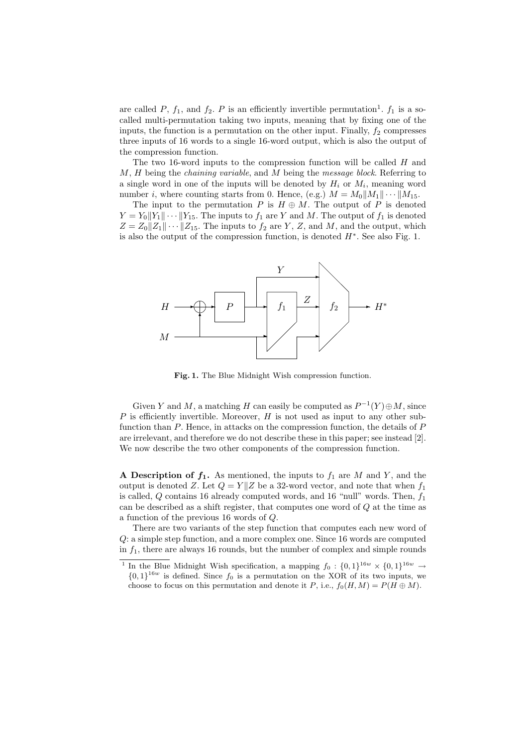are called P,  $f_1$ , and  $f_2$ . P is an efficiently invertible permutation<sup>1</sup>.  $f_1$  is a socalled multi-permutation taking two inputs, meaning that by fixing one of the inputs, the function is a permutation on the other input. Finally,  $f_2$  compresses three inputs of 16 words to a single 16-word output, which is also the output of the compression function.

The two 16-word inputs to the compression function will be called  $H$  and  $M, H$  being the *chaining variable*, and  $M$  being the *message block*. Referring to a single word in one of the inputs will be denoted by  $H_i$  or  $M_i$ , meaning word number *i*, where counting starts from 0. Hence, (e.g.)  $M = M_0||M_1|| \cdots ||M_{15}$ .

The input to the permutation P is  $H \oplus M$ . The output of P is denoted  $Y = Y_0||Y_1|| \cdots ||Y_{15}$ . The inputs to  $f_1$  are Y and M. The output of  $f_1$  is denoted  $Z = Z_0||Z_1|| \cdots ||Z_{15}$ . The inputs to  $f_2$  are Y, Z, and M, and the output, which is also the output of the compression function, is denoted  $H^*$ . See also Fig. 1.



Fig. 1. The Blue Midnight Wish compression function.

Given Y and M, a matching H can easily be computed as  $P^{-1}(Y) \oplus M$ , since P is efficiently invertible. Moreover,  $H$  is not used as input to any other subfunction than  $P$ . Hence, in attacks on the compression function, the details of  $P$ are irrelevant, and therefore we do not describe these in this paper; see instead [2]. We now describe the two other components of the compression function.

A Description of  $f_1$ . As mentioned, the inputs to  $f_1$  are M and Y, and the output is denoted Z. Let  $Q = Y||Z$  be a 32-word vector, and note that when  $f_1$ is called,  $Q$  contains 16 already computed words, and 16 "null" words. Then,  $f_1$ can be described as a shift register, that computes one word of Q at the time as a function of the previous 16 words of Q.

There are two variants of the step function that computes each new word of Q: a simple step function, and a more complex one. Since 16 words are computed in  $f_1$ , there are always 16 rounds, but the number of complex and simple rounds

<sup>&</sup>lt;sup>1</sup> In the Blue Midnight Wish specification, a mapping  $f_0: \{0,1\}^{16w} \times \{0,1\}^{16w} \rightarrow$  ${0,1}^{16w}$  is defined. Since  $f_0$  is a permutation on the XOR of its two inputs, we choose to focus on this permutation and denote it P, i.e.,  $f_0(H, M) = P(H \oplus M)$ .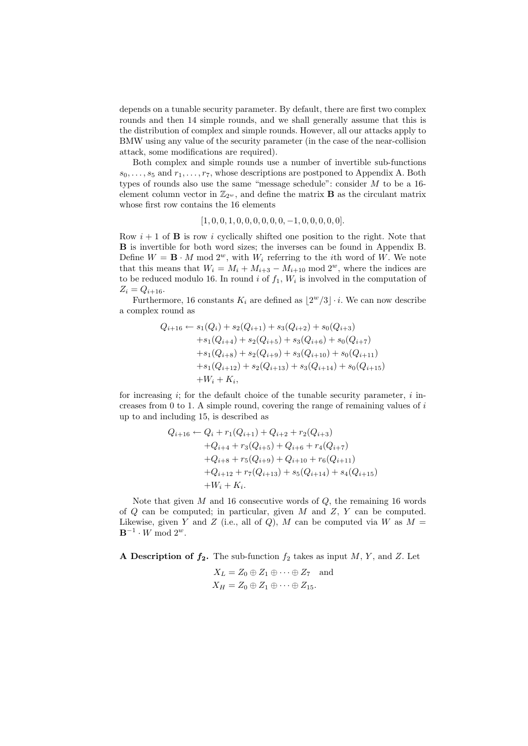depends on a tunable security parameter. By default, there are first two complex rounds and then 14 simple rounds, and we shall generally assume that this is the distribution of complex and simple rounds. However, all our attacks apply to BMW using any value of the security parameter (in the case of the near-collision attack, some modifications are required).

Both complex and simple rounds use a number of invertible sub-functions  $s_0, \ldots, s_5$  and  $r_1, \ldots, r_7$ , whose descriptions are postponed to Appendix A. Both types of rounds also use the same "message schedule": consider  $M$  to be a 16element column vector in  $\mathbb{Z}_{2^w}$ , and define the matrix **B** as the circulant matrix whose first row contains the 16 elements

$$
[1, 0, 0, 1, 0, 0, 0, 0, 0, 0, -1, 0, 0, 0, 0, 0].
$$

Row  $i + 1$  of **B** is row i cyclically shifted one position to the right. Note that B is invertible for both word sizes; the inverses can be found in Appendix B. Define  $W = \mathbf{B} \cdot M \mod 2^w$ , with  $W_i$  referring to the *i*th word of W. We note that this means that  $W_i = M_i + M_{i+3} - M_{i+10}$  mod  $2^w$ , where the indices are to be reduced modulo 16. In round *i* of  $f_1$ ,  $W_i$  is involved in the computation of  $Z_i = Q_{i+16}.$ 

Furthermore, 16 constants  $K_i$  are defined as  $\lfloor 2^w/3 \rfloor \cdot i$ . We can now describe a complex round as

$$
Q_{i+16} \leftarrow s_1(Q_i) + s_2(Q_{i+1}) + s_3(Q_{i+2}) + s_0(Q_{i+3})
$$
  
+ 
$$
s_1(Q_{i+4}) + s_2(Q_{i+5}) + s_3(Q_{i+6}) + s_0(Q_{i+7})
$$
  
+ 
$$
s_1(Q_{i+8}) + s_2(Q_{i+9}) + s_3(Q_{i+10}) + s_0(Q_{i+11})
$$
  
+ 
$$
s_1(Q_{i+12}) + s_2(Q_{i+13}) + s_3(Q_{i+14}) + s_0(Q_{i+15})
$$
  
+ 
$$
W_i + K_i,
$$

for increasing i; for the default choice of the tunable security parameter, i increases from  $0$  to 1. A simple round, covering the range of remaining values of  $i$ up to and including 15, is described as

$$
Q_{i+16} \leftarrow Q_i + r_1(Q_{i+1}) + Q_{i+2} + r_2(Q_{i+3})
$$
  
+
$$
Q_{i+4} + r_3(Q_{i+5}) + Q_{i+6} + r_4(Q_{i+7})
$$
  
+
$$
Q_{i+8} + r_5(Q_{i+9}) + Q_{i+10} + r_6(Q_{i+11})
$$
  
+
$$
Q_{i+12} + r_7(Q_{i+13}) + s_5(Q_{i+14}) + s_4(Q_{i+15})
$$
  
+
$$
W_i + K_i.
$$

Note that given  $M$  and 16 consecutive words of  $Q$ , the remaining 16 words of  $Q$  can be computed; in particular, given  $M$  and  $Z$ ,  $Y$  can be computed. Likewise, given Y and Z (i.e., all of Q), M can be computed via W as  $M =$  $\mathbf{B}^{-1} \cdot W \bmod 2^w$ .

A Description of  $f_2$ . The sub-function  $f_2$  takes as input M, Y, and Z. Let

$$
X_L = Z_0 \oplus Z_1 \oplus \cdots \oplus Z_7 \text{ and}
$$
  

$$
X_H = Z_0 \oplus Z_1 \oplus \cdots \oplus Z_{15}.
$$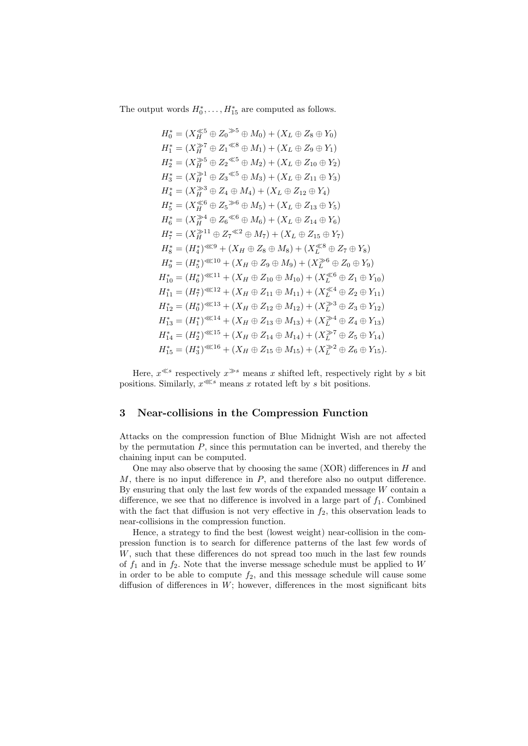The output words  $H_0^*, \ldots, H_{15}^*$  are computed as follows.

$$
H_0^* = (X_H^{\leq 5} \oplus Z_0^{\geq 5} \oplus M_0) + (X_L \oplus Z_8 \oplus Y_0)
$$
  
\n
$$
H_1^* = (X_H^{\geq 5} \oplus Z_1^{\leq 8} \oplus M_1) + (X_L \oplus Z_9 \oplus Y_1)
$$
  
\n
$$
H_2^* = (X_H^{\geq 5} \oplus Z_2^{\leq 5} \oplus M_2) + (X_L \oplus Z_{10} \oplus Y_2)
$$
  
\n
$$
H_3^* = (X_H^{\geq 3} \oplus Z_3^{\leq 5} \oplus M_3) + (X_L \oplus Z_{11} \oplus Y_3)
$$
  
\n
$$
H_4^* = (X_H^{\geq 3} \oplus Z_4 \oplus M_4) + (X_L \oplus Z_{12} \oplus Y_4)
$$
  
\n
$$
H_5^* = (X_H^{\geq 4} \oplus Z_5^{\geq 6} \oplus M_5) + (X_L \oplus Z_{13} \oplus Y_5)
$$
  
\n
$$
H_6^* = (X_H^{\geq 11} \oplus Z_7^{\leq 2} \oplus M_7) + (X_L \oplus Z_{15} \oplus Y_7)
$$
  
\n
$$
H_8^* = (H_4^*)^{\leq 8} \oplus (X_H \oplus Z_8 \oplus M_8) + (X_L^{\leq 8} \oplus Z_7 \oplus Y_8)
$$
  
\n
$$
H_9^* = (H_5^*)^{\leq 8(10)} + (X_H \oplus Z_9 \oplus M_9) + (X_L^{\geq 6} \oplus Z_0 \oplus Y_9)
$$
  
\n
$$
H_{10}^* = (H_6^*)^{\leq 8(11)} + (X_H \oplus Z_{10} \oplus M_{10}) + (X_L^{\leq 6} \oplus Z_1 \oplus Y_{10})
$$
  
\n
$$
H_{11}^* = (H_7^*)^{\leq 8(12)} + (X_H \oplus Z_{11} \oplus M_{11}) + (X_L^{\leq 6} \oplus Z_1 \oplus Y_{12})
$$
  
\n<math display="</math>

Here,  $x^{\leq s}$  respectively  $x^{\gg s}$  means x shifted left, respectively right by s bit positions. Similarly,  $x^{\ll s}$  means x rotated left by s bit positions.

## 3 Near-collisions in the Compression Function

Attacks on the compression function of Blue Midnight Wish are not affected by the permutation  $P$ , since this permutation can be inverted, and thereby the chaining input can be computed.

One may also observe that by choosing the same (XOR) differences in  $H$  and  $M$ , there is no input difference in  $P$ , and therefore also no output difference. By ensuring that only the last few words of the expanded message  $W$  contain a difference, we see that no difference is involved in a large part of  $f_1$ . Combined with the fact that diffusion is not very effective in  $f_2$ , this observation leads to near-collisions in the compression function.

Hence, a strategy to find the best (lowest weight) near-collision in the compression function is to search for difference patterns of the last few words of W, such that these differences do not spread too much in the last few rounds of  $f_1$  and in  $f_2$ . Note that the inverse message schedule must be applied to W in order to be able to compute  $f_2$ , and this message schedule will cause some diffusion of differences in W; however, differences in the most significant bits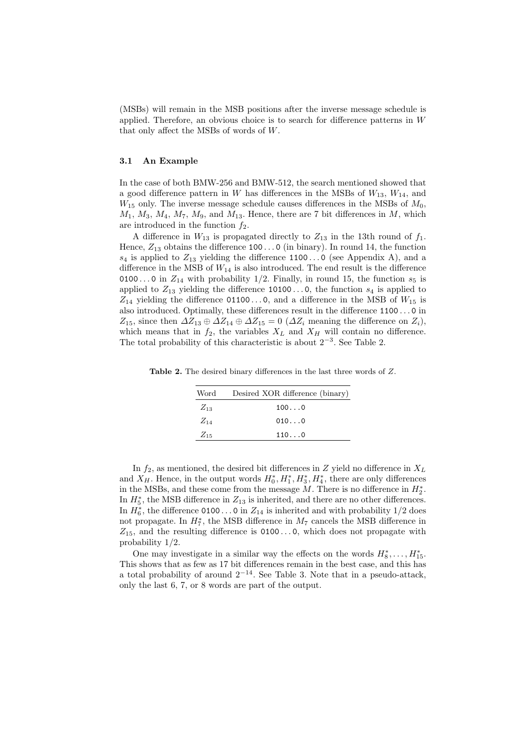(MSBs) will remain in the MSB positions after the inverse message schedule is applied. Therefore, an obvious choice is to search for difference patterns in W that only affect the MSBs of words of W.

## 3.1 An Example

In the case of both BMW-256 and BMW-512, the search mentioned showed that a good difference pattern in W has differences in the MSBs of  $W_{13}$ ,  $W_{14}$ , and  $W_{15}$  only. The inverse message schedule causes differences in the MSBs of  $M_0$ ,  $M_1, M_3, M_4, M_7, M_9$ , and  $M_{13}$ . Hence, there are 7 bit differences in M, which are introduced in the function  $f_2$ .

A difference in  $W_{13}$  is propagated directly to  $Z_{13}$  in the 13th round of  $f_1$ . Hence,  $Z_{13}$  obtains the difference 100...0 (in binary). In round 14, the function  $s_4$  is applied to  $Z_{13}$  yielding the difference 1100...0 (see Appendix A), and a difference in the MSB of  $W_{14}$  is also introduced. The end result is the difference 0100...0 in  $Z_{14}$  with probability 1/2. Finally, in round 15, the function  $s_5$  is applied to  $Z_{13}$  yielding the difference 10100...0, the function  $s_4$  is applied to  $Z_{14}$  yielding the difference 01100...0, and a difference in the MSB of  $W_{15}$  is also introduced. Optimally, these differences result in the difference 1100 . . . 0 in  $Z_{15}$ , since then  $\Delta Z_{13} \oplus \Delta Z_{14} \oplus \Delta Z_{15} = 0$  ( $\Delta Z_i$  meaning the difference on  $Z_i$ ), which means that in  $f_2$ , the variables  $X_L$  and  $X_H$  will contain no difference. The total probability of this characteristic is about  $2^{-3}$ . See Table 2.

Table 2. The desired binary differences in the last three words of Z.

| Word     | Desired XOR difference (binary) |
|----------|---------------------------------|
| $Z_{13}$ | 1000                            |
| $Z_{14}$ | 0100                            |
| $Z_{15}$ | 1100                            |

In  $f_2$ , as mentioned, the desired bit differences in Z yield no difference in  $X_L$ and  $X_H$ . Hence, in the output words  $H_0^*, H_1^*, H_3^*, H_4^*$ , there are only differences in the MSBs, and these come from the message  $M$ . There is no difference in  $H_2^*$ . In  $H_5^*$ , the MSB difference in  $Z_{13}$  is inherited, and there are no other differences. In  $H_6^*$ , the difference 0100...0 in  $Z_{14}$  is inherited and with probability 1/2 does not propagate. In  $H_7^*$ , the MSB difference in  $M_7$  cancels the MSB difference in  $Z_{15}$ , and the resulting difference is 0100...0, which does not propagate with probability 1/2.

One may investigate in a similar way the effects on the words  $H_8^*, \ldots, H_{15}^*$ . This shows that as few as 17 bit differences remain in the best case, and this has a total probability of around  $2^{-14}$ . See Table 3. Note that in a pseudo-attack, only the last 6, 7, or 8 words are part of the output.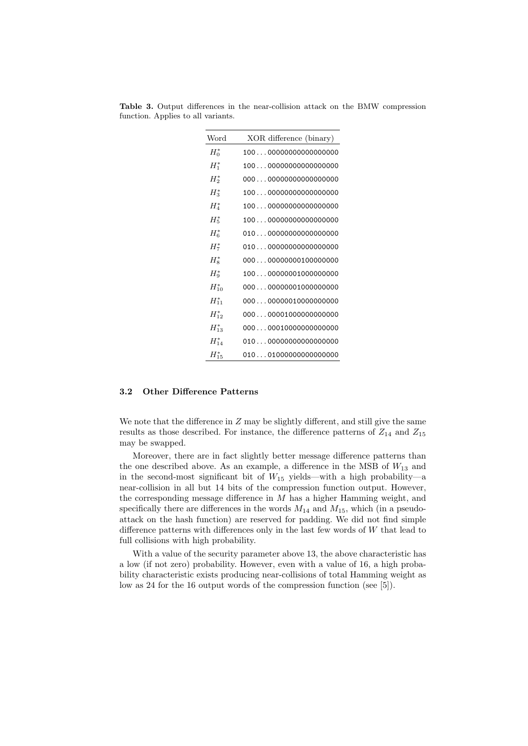| Word       | XOR difference (binary) |
|------------|-------------------------|
| $H_0^*$    | 10000000000000000000    |
| $H_1^*$    | 10000000000000000000    |
| $H_2^*$    | 00000000000000000000    |
| $H_3^*$    | 10000000000000000000    |
| $H^*_4$    | 10000000000000000000    |
| $H_5^*$    | 10000000000000000000    |
| $H_6^*$    | 01000000000000000000    |
| $H_7^*$    | 01000000000000000000    |
| $H_8^*$    | 00000000000100000000    |
| $H_9^*$    | 10000000001000000000    |
| $H_{10}^*$ | 00000000001000000000    |
| $H_{11}^*$ | 00000000010000000000    |
| $H_{12}^*$ | 00000001000000000000    |
| $H_{13}^*$ | 00000010000000000000    |
| $H_{14}^*$ | 01000000000000000000    |
| $H_{15}^*$ | 01001000000000000000    |

Table 3. Output differences in the near-collision attack on the BMW compression function. Applies to all variants.

### 3.2 Other Difference Patterns

We note that the difference in  $Z$  may be slightly different, and still give the same results as those described. For instance, the difference patterns of  $Z_{14}$  and  $Z_{15}$ may be swapped.

Moreover, there are in fact slightly better message difference patterns than the one described above. As an example, a difference in the MSB of  $W_{13}$  and in the second-most significant bit of  $W_{15}$  yields—with a high probability—a near-collision in all but 14 bits of the compression function output. However, the corresponding message difference in  $M$  has a higher Hamming weight, and specifically there are differences in the words  $M_{14}$  and  $M_{15}$ , which (in a pseudoattack on the hash function) are reserved for padding. We did not find simple difference patterns with differences only in the last few words of  $W$  that lead to full collisions with high probability.

With a value of the security parameter above 13, the above characteristic has a low (if not zero) probability. However, even with a value of 16, a high probability characteristic exists producing near-collisions of total Hamming weight as low as 24 for the 16 output words of the compression function (see [5]).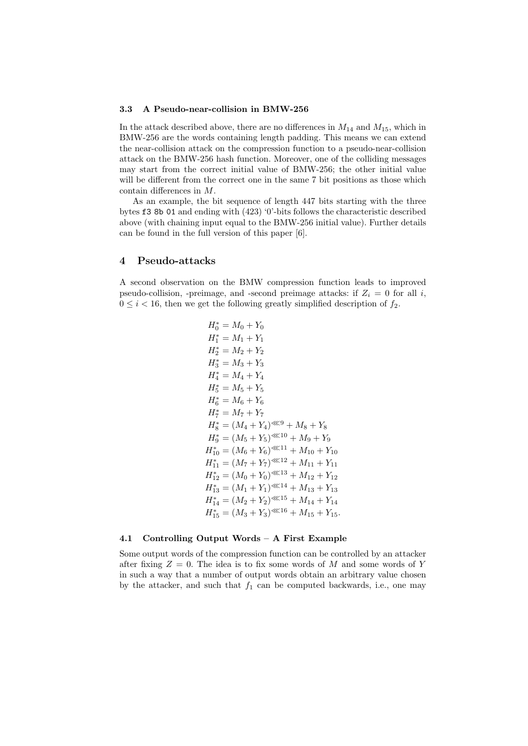#### 3.3 A Pseudo-near-collision in BMW-256

In the attack described above, there are no differences in  $M_{14}$  and  $M_{15}$ , which in BMW-256 are the words containing length padding. This means we can extend the near-collision attack on the compression function to a pseudo-near-collision attack on the BMW-256 hash function. Moreover, one of the colliding messages may start from the correct initial value of BMW-256; the other initial value will be different from the correct one in the same 7 bit positions as those which contain differences in M.

As an example, the bit sequence of length 447 bits starting with the three bytes f3 8b 01 and ending with (423) '0'-bits follows the characteristic described above (with chaining input equal to the BMW-256 initial value). Further details can be found in the full version of this paper [6].

## 4 Pseudo-attacks

A second observation on the BMW compression function leads to improved pseudo-collision, -preimage, and -second preimage attacks: if  $Z_i = 0$  for all i,  $0 \leq i < 16$ , then we get the following greatly simplified description of  $f_2$ .

$$
H_0^* = M_0 + Y_0
$$
  
\n
$$
H_1^* = M_1 + Y_1
$$
  
\n
$$
H_2^* = M_2 + Y_2
$$
  
\n
$$
H_3^* = M_3 + Y_3
$$
  
\n
$$
H_4^* = M_4 + Y_4
$$
  
\n
$$
H_5^* = M_5 + Y_5
$$
  
\n
$$
H_6^* = M_6 + Y_6
$$
  
\n
$$
H_7^* = M_7 + Y_7
$$
  
\n
$$
H_8^* = (M_4 + Y_4)^{\lll 9} + M_8 + Y_8
$$
  
\n
$$
H_9^* = (M_5 + Y_5)^{\lll 10} + M_9 + Y_9
$$
  
\n
$$
H_{10}^* = (M_6 + Y_6)^{\lll 11} + M_{10} + Y_{10}
$$
  
\n
$$
H_{11}^* = (M_7 + Y_7)^{\lll 12} + M_{11} + Y_{11}
$$
  
\n
$$
H_{12}^* = (M_0 + Y_0)^{\lll 13} + M_{12} + Y_{12}
$$
  
\n
$$
H_{13}^* = (M_1 + Y_1)^{\lll 14} + M_{13} + Y_{13}
$$
  
\n
$$
H_{14}^* = (M_2 + Y_2)^{\lll 15} + M_{14} + Y_{14}
$$
  
\n
$$
H_{15}^* = (M_3 + Y_3)^{\lll 16} + M_{15} + Y_{15}.
$$

#### 4.1 Controlling Output Words – A First Example

Some output words of the compression function can be controlled by an attacker after fixing  $Z = 0$ . The idea is to fix some words of M and some words of Y in such a way that a number of output words obtain an arbitrary value chosen by the attacker, and such that  $f_1$  can be computed backwards, i.e., one may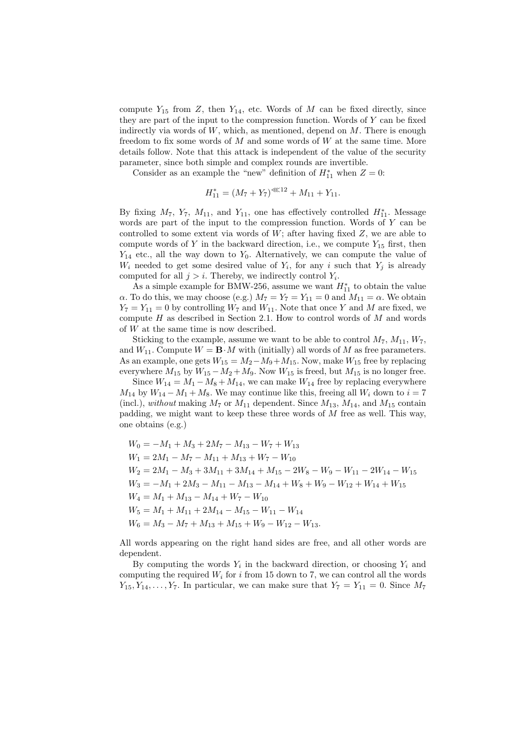compute  $Y_{15}$  from Z, then  $Y_{14}$ , etc. Words of M can be fixed directly, since they are part of the input to the compression function. Words of  $Y$  can be fixed indirectly via words of  $W$ , which, as mentioned, depend on  $M$ . There is enough freedom to fix some words of  $M$  and some words of  $W$  at the same time. More details follow. Note that this attack is independent of the value of the security parameter, since both simple and complex rounds are invertible.

Consider as an example the "new" definition of  $H_{11}^*$  when  $Z=0$ :

$$
H_{11}^* = (M_7 + Y_7)^{\otimes 12} + M_{11} + Y_{11}.
$$

By fixing  $M_7$ ,  $Y_7$ ,  $M_{11}$ , and  $Y_{11}$ , one has effectively controlled  $H_{11}^*$ . Message words are part of the input to the compression function. Words of Y can be controlled to some extent via words of  $W$ ; after having fixed  $Z$ , we are able to compute words of Y in the backward direction, i.e., we compute  $Y_{15}$  first, then  $Y_{14}$  etc., all the way down to  $Y_0$ . Alternatively, we can compute the value of  $W_i$  needed to get some desired value of  $Y_i$ , for any i such that  $Y_j$  is already computed for all  $j > i$ . Thereby, we indirectly control  $Y_i$ .

As a simple example for BMW-256, assume we want  $H_{11}^*$  to obtain the value  $\alpha$ . To do this, we may choose (e.g.)  $M_7 = Y_7 = Y_{11} = 0$  and  $M_{11} = \alpha$ . We obtain  $Y_7 = Y_{11} = 0$  by controlling  $W_7$  and  $W_{11}$ . Note that once Y and M are fixed, we compute  $H$  as described in Section 2.1. How to control words of  $M$  and words of W at the same time is now described.

Sticking to the example, assume we want to be able to control  $M_7$ ,  $M_{11}$ ,  $W_7$ , and  $W_{11}$ . Compute  $W = \mathbf{B} \cdot M$  with (initially) all words of M as free parameters. As an example, one gets  $W_{15} = M_2 - M_9 + M_{15}$ . Now, make  $W_{15}$  free by replacing everywhere  $M_{15}$  by  $W_{15} - M_2 + M_9$ . Now  $W_{15}$  is freed, but  $M_{15}$  is no longer free.

Since  $W_{14} = M_1 - M_8 + M_{14}$ , we can make  $W_{14}$  free by replacing everywhere  $M_{14}$  by  $W_{14} - M_1 + M_8$ . We may continue like this, freeing all  $W_i$  down to  $i = 7$ (incl.), without making  $M_7$  or  $M_{11}$  dependent. Since  $M_{13}$ ,  $M_{14}$ , and  $M_{15}$  contain padding, we might want to keep these three words of M free as well. This way, one obtains (e.g.)

$$
W_0 = -M_1 + M_3 + 2M_7 - M_{13} - W_7 + W_{13}
$$
  
\n
$$
W_1 = 2M_1 - M_7 - M_{11} + M_{13} + W_7 - W_{10}
$$
  
\n
$$
W_2 = 2M_1 - M_3 + 3M_{11} + 3M_{14} + M_{15} - 2W_8 - W_9 - W_{11} - 2W_{14} - W_{15}
$$
  
\n
$$
W_3 = -M_1 + 2M_3 - M_{11} - M_{13} - M_{14} + W_8 + W_9 - W_{12} + W_{14} + W_{15}
$$
  
\n
$$
W_4 = M_1 + M_{13} - M_{14} + W_7 - W_{10}
$$
  
\n
$$
W_5 = M_1 + M_{11} + 2M_{14} - M_{15} - W_{11} - W_{14}
$$
  
\n
$$
W_6 = M_3 - M_7 + M_{13} + M_{15} + W_9 - W_{12} - W_{13}.
$$

All words appearing on the right hand sides are free, and all other words are dependent.

By computing the words  $Y_i$  in the backward direction, or choosing  $Y_i$  and computing the required  $W_i$  for i from 15 down to 7, we can control all the words  $Y_{15}, Y_{14}, \ldots, Y_{7}$ . In particular, we can make sure that  $Y_7 = Y_{11} = 0$ . Since  $M_7$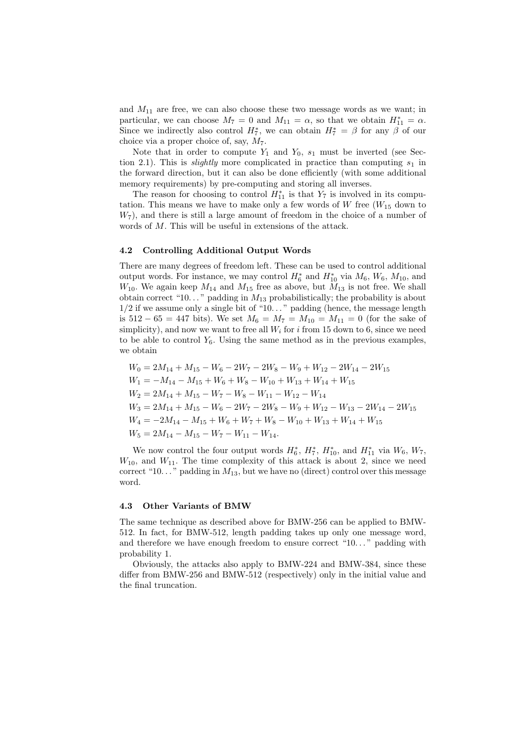and  $M_{11}$  are free, we can also choose these two message words as we want; in particular, we can choose  $M_7 = 0$  and  $M_{11} = \alpha$ , so that we obtain  $H_{11}^* = \alpha$ . Since we indirectly also control  $H_7^*$ , we can obtain  $H_7^* = \beta$  for any  $\beta$  of our choice via a proper choice of, say,  $M_7$ .

Note that in order to compute  $Y_1$  and  $Y_0$ ,  $s_1$  must be inverted (see Section 2.1). This is *slightly* more complicated in practice than computing  $s_1$  in the forward direction, but it can also be done efficiently (with some additional memory requirements) by pre-computing and storing all inverses.

The reason for choosing to control  $H_{11}^*$  is that  $Y_7$  is involved in its computation. This means we have to make only a few words of  $W$  free  $(W_{15}$  down to  $W_7$ , and there is still a large amount of freedom in the choice of a number of words of M. This will be useful in extensions of the attack.

#### 4.2 Controlling Additional Output Words

There are many degrees of freedom left. These can be used to control additional output words. For instance, we may control  $H_6^*$  and  $H_{10}^*$  via  $M_6$ ,  $W_6$ ,  $M_{10}$ , and  $W_{10}$ . We again keep  $M_{14}$  and  $M_{15}$  free as above, but  $M_{13}$  is not free. We shall obtain correct "10..." padding in  $M_{13}$  probabilistically; the probability is about  $1/2$  if we assume only a single bit of " $10...$ " padding (hence, the message length is  $512 - 65 = 447$  bits). We set  $M_6 = M_7 = M_{10} = M_{11} = 0$  (for the sake of simplicity), and now we want to free all  $W_i$  for i from 15 down to 6, since we need to be able to control  $Y_6$ . Using the same method as in the previous examples, we obtain

$$
W_0 = 2M_{14} + M_{15} - W_6 - 2W_7 - 2W_8 - W_9 + W_{12} - 2W_{14} - 2W_{15}
$$
  
\n
$$
W_1 = -M_{14} - M_{15} + W_6 + W_8 - W_{10} + W_{13} + W_{14} + W_{15}
$$
  
\n
$$
W_2 = 2M_{14} + M_{15} - W_7 - W_8 - W_{11} - W_{12} - W_{14}
$$
  
\n
$$
W_3 = 2M_{14} + M_{15} - W_6 - 2W_7 - 2W_8 - W_9 + W_{12} - W_{13} - 2W_{14} - 2W_{15}
$$
  
\n
$$
W_4 = -2M_{14} - M_{15} + W_6 + W_7 + W_8 - W_{10} + W_{13} + W_{14} + W_{15}
$$
  
\n
$$
W_5 = 2M_{14} - M_{15} - W_7 - W_{11} - W_{14}.
$$

We now control the four output words  $H_6^*$ ,  $H_7^*$ ,  $H_{10}^*$ , and  $H_{11}^*$  via  $W_6$ ,  $W_7$ ,  $W_{10}$ , and  $W_{11}$ . The time complexity of this attack is about 2, since we need correct "10..." padding in  $M_{13}$ , but we have no (direct) control over this message word.

#### 4.3 Other Variants of BMW

The same technique as described above for BMW-256 can be applied to BMW-512. In fact, for BMW-512, length padding takes up only one message word, and therefore we have enough freedom to ensure correct "10..." padding with probability 1.

Obviously, the attacks also apply to BMW-224 and BMW-384, since these differ from BMW-256 and BMW-512 (respectively) only in the initial value and the final truncation.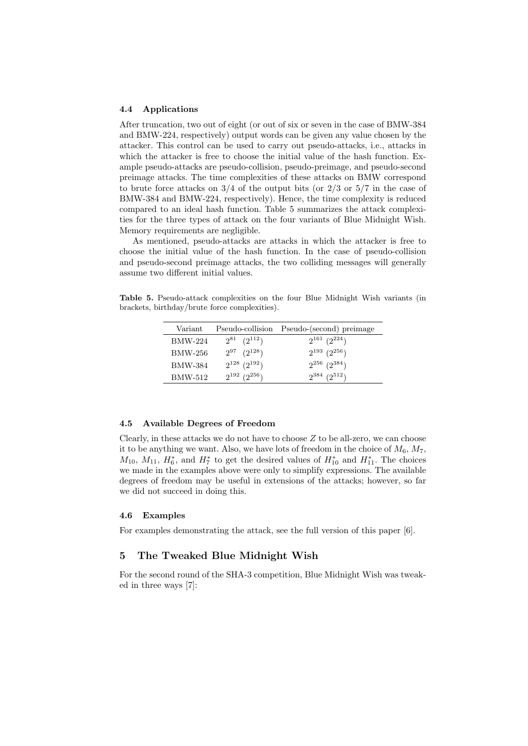#### 4.4 Applications

After truncation, two out of eight (or out of six or seven in the case of BMW-384 and BMW-224, respectively) output words can be given any value chosen by the attacker. This control can be used to carry out pseudo-attacks, i.e., attacks in which the attacker is free to choose the initial value of the hash function. Example pseudo-attacks are pseudo-collision, pseudo-preimage, and pseudo-second preimage attacks. The time complexities of these attacks on BMW correspond to brute force attacks on  $3/4$  of the output bits (or  $2/3$  or  $5/7$  in the case of BMW-384 and BMW-224, respectively). Hence, the time complexity is reduced compared to an ideal hash function. Table 5 summarizes the attack complexities for the three types of attack on the four variants of Blue Midnight Wish. Memory requirements are negligible.

As mentioned, pseudo-attacks are attacks in which the attacker is free to choose the initial value of the hash function. In the case of pseudo-collision and pseudo-second preimage attacks, the two colliding messages will generally assume two different initial values.

Table 5. Pseudo-attack complexities on the four Blue Midnight Wish variants (in brackets, birthday/brute force complexities).

| Variant |                       | Pseudo-collision Pseudo-(second) preimage |
|---------|-----------------------|-------------------------------------------|
| BMW-224 | $2^{81}$ $(2^{112})$  | $2^{161}$ $(2^{224})$                     |
| BMW-256 | $2^{97}$ $(2^{128})$  | $2^{193}$ $(2^{256})$                     |
| BMW-384 | $2^{128}$ $(2^{192})$ | $2^{256}$ $(2^{384})$                     |
| BMW-512 | $2^{192}$ $(2^{256})$ | $2^{384}$ $(2^{512})$                     |

#### 4.5 Available Degrees of Freedom

Clearly, in these attacks we do not have to choose  $Z$  to be all-zero, we can choose it to be anything we want. Also, we have lots of freedom in the choice of  $M_6$ ,  $M_7$ ,  $M_{10}$ ,  $M_{11}$ ,  $H_6^*$ , and  $H_7^*$  to get the desired values of  $H_{10}^*$  and  $H_{11}^*$ . The choices we made in the examples above were only to simplify expressions. The available degrees of freedom may be useful in extensions of the attacks; however, so far we did not succeed in doing this.

## 4.6 Examples

For examples demonstrating the attack, see the full version of this paper [6].

## 5 The Tweaked Blue Midnight Wish

For the second round of the SHA-3 competition, Blue Midnight Wish was tweaked in three ways [7]: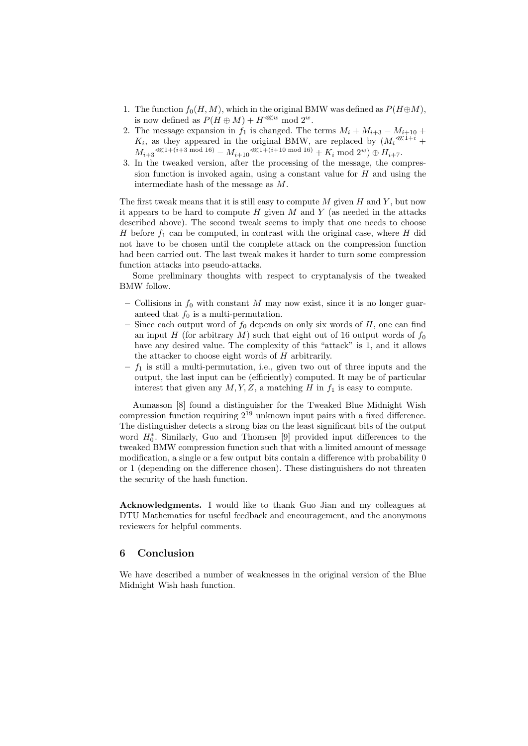- 1. The function  $f_0(H, M)$ , which in the original BMW was defined as  $P(H \oplus M)$ , is now defined as  $P(H \oplus M) + H^{\lll w} \mod 2^w$ .
- 2. The message expansion in  $f_1$  is changed. The terms  $M_i + M_{i+3} M_{i+10} +$  $K_i$ , as they appeared in the original BMW, are replaced by  $(M_i^{\lll(1+i)} +$  $M_{i+3} \ll 1 + (i+3 \mod 16) = M_{i+10} \ll 1 + (i+10 \mod 16) + K_i \mod 2^w \oplus H_{i+7}.$
- 3. In the tweaked version, after the processing of the message, the compression function is invoked again, using a constant value for  $H$  and using the intermediate hash of the message as M.

The first tweak means that it is still easy to compute  $M$  given  $H$  and  $Y$ , but now it appears to be hard to compute  $H$  given  $M$  and  $Y$  (as needed in the attacks described above). The second tweak seems to imply that one needs to choose H before  $f_1$  can be computed, in contrast with the original case, where H did not have to be chosen until the complete attack on the compression function had been carried out. The last tweak makes it harder to turn some compression function attacks into pseudo-attacks.

Some preliminary thoughts with respect to cryptanalysis of the tweaked BMW follow.

- Collisions in  $f_0$  with constant M may now exist, since it is no longer guaranteed that  $f_0$  is a multi-permutation.
- Since each output word of  $f_0$  depends on only six words of H, one can find an input H (for arbitrary M) such that eight out of 16 output words of  $f_0$ have any desired value. The complexity of this "attack" is 1, and it allows the attacker to choose eight words of  $H$  arbitrarily.
- $f_1$  is still a multi-permutation, i.e., given two out of three inputs and the output, the last input can be (efficiently) computed. It may be of particular interest that given any  $M, Y, Z$ , a matching H in  $f_1$  is easy to compute.

Aumasson [8] found a distinguisher for the Tweaked Blue Midnight Wish compression function requiring  $2^{19}$  unknown input pairs with a fixed difference. The distinguisher detects a strong bias on the least significant bits of the output word  $H_0^*$ . Similarly, Guo and Thomsen [9] provided input differences to the tweaked BMW compression function such that with a limited amount of message modification, a single or a few output bits contain a difference with probability 0 or 1 (depending on the difference chosen). These distinguishers do not threaten the security of the hash function.

Acknowledgments. I would like to thank Guo Jian and my colleagues at DTU Mathematics for useful feedback and encouragement, and the anonymous reviewers for helpful comments.

## 6 Conclusion

We have described a number of weaknesses in the original version of the Blue Midnight Wish hash function.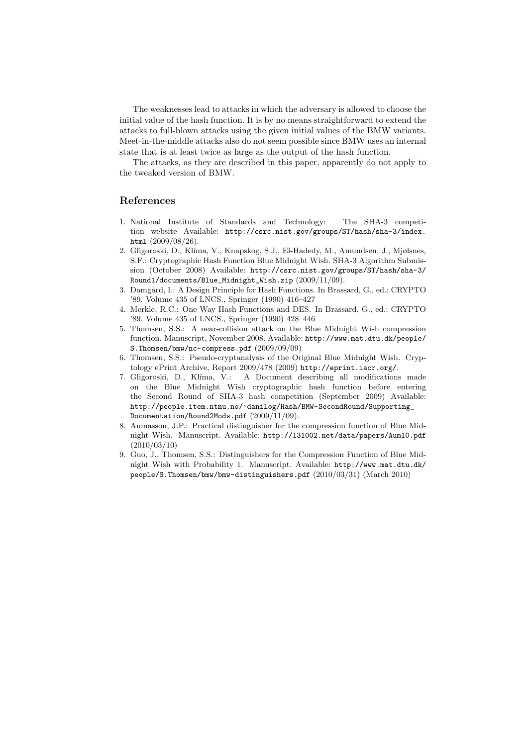The weaknesses lead to attacks in which the adversary is allowed to choose the initial value of the hash function. It is by no means straightforward to extend the attacks to full-blown attacks using the given initial values of the BMW variants. Meet-in-the-middle attacks also do not seem possible since BMW uses an internal state that is at least twice as large as the output of the hash function.

The attacks, as they are described in this paper, apparently do not apply to the tweaked version of BMW.

## References

- 1. National Institute of Standards and Technology: The SHA-3 competition website Available: http://csrc.nist.gov/groups/ST/hash/sha-3/index. html  $(2009/08/26)$ .
- 2. Gligoroski, D., Kl´ıma, V., Knapskog, S.J., El-Hadedy, M., Amundsen, J., Mjølsnes, S.F.: Cryptographic Hash Function Blue Midnight Wish. SHA-3 Algorithm Submission (October 2008) Available: http://csrc.nist.gov/groups/ST/hash/sha-3/ Round1/documents/Blue\_Midnight\_Wish.zip (2009/11/09).
- 3. Damgård, I.: A Design Principle for Hash Functions. In Brassard, G., ed.: CRYPTO '89. Volume 435 of LNCS., Springer (1990) 416–427
- 4. Merkle, R.C.: One Way Hash Functions and DES. In Brassard, G., ed.: CRYPTO '89. Volume 435 of LNCS., Springer (1990) 428–446
- 5. Thomsen, S.S.: A near-collision attack on the Blue Midnight Wish compression function. Manuscript, November 2008. Available: http://www.mat.dtu.dk/people/ S.Thomsen/bmw/nc-compress.pdf (2009/09/09)
- 6. Thomsen, S.S.: Pseudo-cryptanalysis of the Original Blue Midnight Wish. Cryptology ePrint Archive, Report 2009/478 (2009) http://eprint.iacr.org/.
- 7. Gligoroski, D., Kl´ıma, V.: A Document describing all modifications made on the Blue Midnight Wish cryptographic hash function before entering the Second Round of SHA-3 hash competition (September 2009) Available: http://people.item.ntnu.no/~danilog/Hash/BMW-SecondRound/Supporting\_ Documentation/Round2Mods.pdf (2009/11/09).
- 8. Aumasson, J.P.: Practical distinguisher for the compression function of Blue Midnight Wish. Manuscript. Available: http://131002.net/data/papers/Aum10.pdf (2010/03/10)
- 9. Guo, J., Thomsen, S.S.: Distinguishers for the Compression Function of Blue Midnight Wish with Probability 1. Manuscript. Available: http://www.mat.dtu.dk/ people/S.Thomsen/bmw/bmw-distinguishers.pdf (2010/03/31) (March 2010)